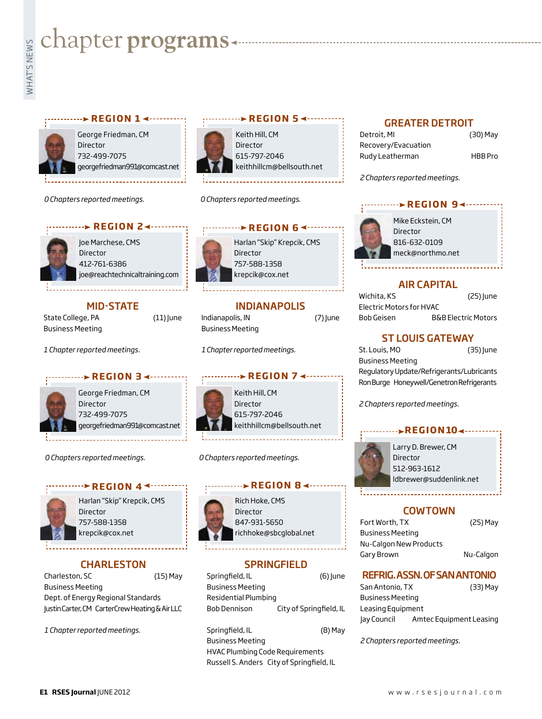# **whater programs**<br>Example:<br>Fig. 1

### **REGION 14 - - - - - - - - - - -**



George Friedman, CM Director 732-499-7075 georgefriedman991@comcast.net

*0 Chapters reported meetings.*





Joe Marchese, CMS Director 412-761-6386 joe@reachtechnicaltraining.com

### MID-STATE

State College, PA (11) June Business Meeting

*1 Chapter reported meetings.*



George Friedman, CM Director 732-499-7075 georgefriedman991@comcast.net

**REGION 34 ------**

*0 Chapters reported meetings.*

### *<u><b>P* REGION 4<sup>4</sup></u>



Harlan "Skip" Krepcik, CMS Director 757-588-1358 krepcik@cox.net

### **CHARLESTON**

Charleston, SC (15) May Business Meeting Dept. of Energy Regional Standards Justin Carter, CM CarterCrew Heating & Air LLC

*1 Chapter reported meetings.*

### Keith Hill, CM **REGION 5 <----------**

Director 615-797-2046 keithhillcm@bellsouth.net

*0 Chapters reported meetings.*



Harlan "Skip" Krepcik, CMS 757-588-1358 krepcik@cox.net

### INDIANAPOLIS

Indianapolis, IN (7) June Business Meeting

*1 Chapter reported meetings.*

### **REGION 74------**

Keith Hill, CM Director 615-797-2046 keithhillcm@bellsouth.net

*0 Chapters reported meetings.*

### **r e g i o n 8**



Rich Hoke, CMS Director 847-931-5650 richhoke@sbcglobal.net

### **SPRINGFIELD**

Springfield, IL (6) June Business Meeting Residential Plumbing Bob Dennison City of Springfield, IL

Springfield, IL (8) May Business Meeting HVAC Plumbing Code Requirements Russell S. Anders City of Springfield, IL

### GREATER DETROIT

| Detroit, MI         | (30) May       |
|---------------------|----------------|
| Recovery/Evacuation |                |
| Rudy Leatherman     | <b>HBB</b> Pro |

**REGION 94-------**

*2 Chapters reported meetings.*



Mike Eckstein, CM Director 816-632-0109 meck@northmo.net

### AIR CAPITAL

| Wichita, KS              | $(25)$ June                    |
|--------------------------|--------------------------------|
| Electric Motors for HVAC |                                |
| Bob Geisen               | <b>B&amp;B Electric Motors</b> |

## ST LOUIS GATEWAY

St. Louis, MO (35) June Business Meeting Regulatory Update/Refrigerants/Lubricants Ron Burge Honeywell/Genetron Refrigerants

*2 Chapters reported meetings.*

### **REGION104 - - - - - - -**



Larry D. Brewer, CM Director 512-963-1612 ldbrewer@suddenlink.net

### **COWTOWN**

| Fort Worth, TX          | (25) May  |
|-------------------------|-----------|
| <b>Business Meeting</b> |           |
| Nu-Calgon New Products  |           |
| Gary Brown              | Nu-Calgon |

### REFRIG. ASSN. OF SAN ANTONIO

| San Antonio, TX         | (33) May                |  |
|-------------------------|-------------------------|--|
| <b>Business Meeting</b> |                         |  |
| Leasing Equipment       |                         |  |
| Jay Council             | Amtec Equipment Leasing |  |

*2 Chapters reported meetings.*